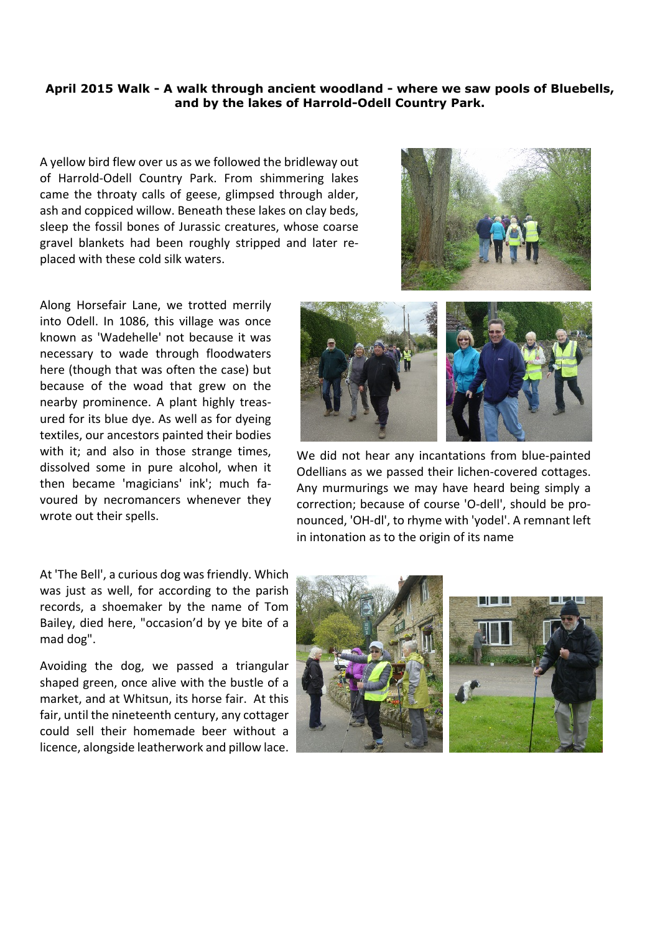## **April 2015 Walk - A walk through ancient woodland - where we saw pools of Bluebells, and by the lakes of Harrold-Odell Country Park.**

A yellow bird flew over us as we followed the bridleway out of Harrold-Odell Country Park. From shimmering lakes came the throaty calls of geese, glimpsed through alder, ash and coppiced willow. Beneath these lakes on clay beds, sleep the fossil bones of Jurassic creatures, whose coarse gravel blankets had been roughly stripped and later replaced with these cold silk waters.



Along Horsefair Lane, we trotted merrily into Odell. In 1086, this village was once known as 'Wadehelle' not because it was necessary to wade through floodwaters here (though that was often the case) but because of the woad that grew on the nearby prominence. A plant highly treasured for its blue dye. As well as for dyeing textiles, our ancestors painted their bodies with it; and also in those strange times, dissolved some in pure alcohol, when it then became 'magicians' ink'; much favoured by necromancers whenever they wrote out their spells.

At 'The Bell', a curious dog was friendly. Which was just as well, for according to the parish records, a shoemaker by the name of Tom Bailey, died here, "occasion'd by ye bite of a mad dog".

Avoiding the dog, we passed a triangular shaped green, once alive with the bustle of a market, and at Whitsun, its horse fair. At this fair, until the nineteenth century, any cottager could sell their homemade beer without a licence, alongside leatherwork and pillow lace.



We did not hear any incantations from blue-painted Odellians as we passed their lichen-covered cottages. Any murmurings we may have heard being simply a correction; because of course 'O-dell', should be pronounced, 'OH-dl', to rhyme with 'yodel'. A remnant left in intonation as to the origin of its name



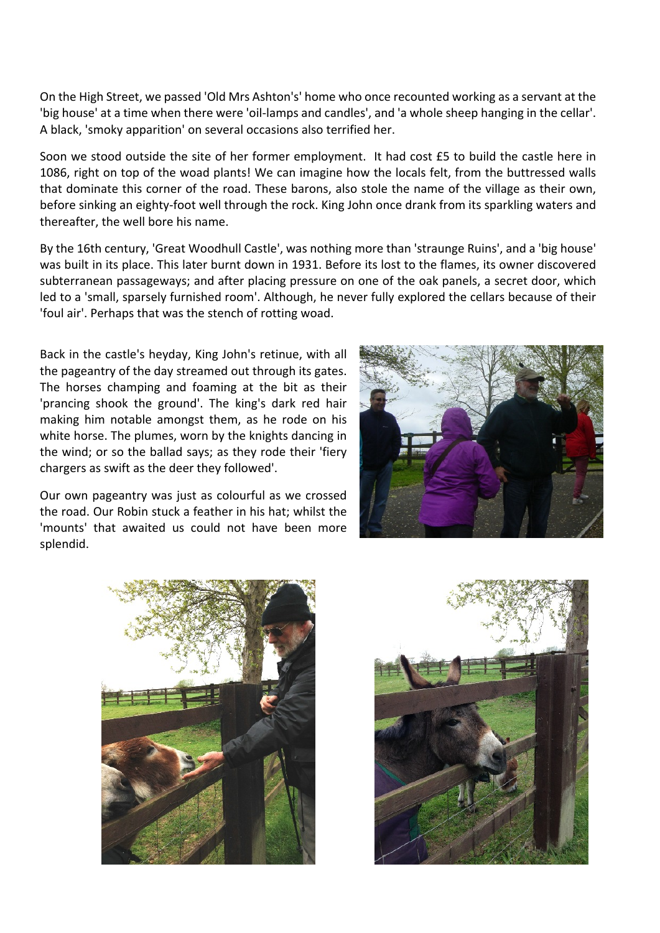On the High Street, we passed 'Old Mrs Ashton's' home who once recounted working as a servant at the 'big house' at a time when there were 'oil-lamps and candles', and 'a whole sheep hanging in the cellar'. A black, 'smoky apparition' on several occasions also terrified her.

Soon we stood outside the site of her former employment. It had cost £5 to build the castle here in 1086, right on top of the woad plants! We can imagine how the locals felt, from the buttressed walls that dominate this corner of the road. These barons, also stole the name of the village as their own, before sinking an eighty-foot well through the rock. King John once drank from its sparkling waters and thereafter, the well bore his name.

By the 16th century, 'Great Woodhull Castle', was nothing more than 'straunge Ruins', and a 'big house' was built in its place. This later burnt down in 1931. Before its lost to the flames, its owner discovered subterranean passageways; and after placing pressure on one of the oak panels, a secret door, which led to a 'small, sparsely furnished room'. Although, he never fully explored the cellars because of their 'foul air'. Perhaps that was the stench of rotting woad.

Back in the castle's heyday, King John's retinue, with all the pageantry of the day streamed out through its gates. The horses champing and foaming at the bit as their 'prancing shook the ground'. The king's dark red hair making him notable amongst them, as he rode on his white horse. The plumes, worn by the knights dancing in the wind; or so the ballad says; as they rode their 'fiery chargers as swift as the deer they followed'.

Our own pageantry was just as colourful as we crossed the road. Our Robin stuck a feather in his hat; whilst the 'mounts' that awaited us could not have been more splendid.